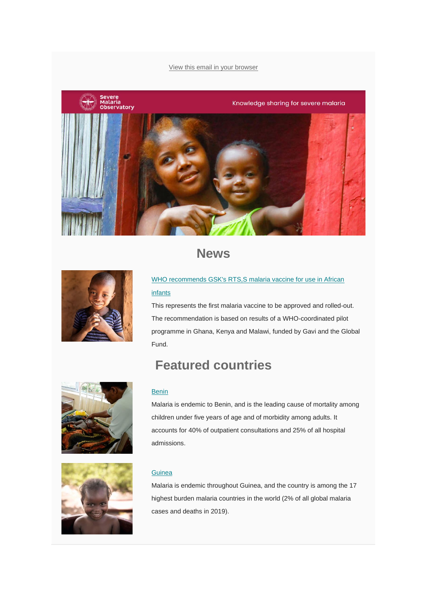#### [View this email in your browser](https://mailchi.mp/42d4444c5262/severe-malaria-observatory-november-2021-newsletter?e=%5bUNIQID%5d)



## **News**



### [WHO recommends GSK's RTS,S malaria vaccine for use in African](https://www.severemalaria.org/news/first-ever-malaria-vaccine-to-get-who-recommendation-for-roll-out)  [infants](https://www.severemalaria.org/news/first-ever-malaria-vaccine-to-get-who-recommendation-for-roll-out)

This represents the first malaria vaccine to be approved and rolled-out. The recommendation is based on results of a WHO-coordinated pilot programme in Ghana, Kenya and Malawi, funded by Gavi and the Global Fund.

# **Featured countries**



Malaria is endemic to Benin, and is the leading cause of mortality among children under five years of age and of morbidity among adults. It accounts for 40% of outpatient consultations and 25% of all hospital admissions.



#### **[Guinea](https://www.severemalaria.org/countries/guinea-0)**

Malaria is endemic throughout Guinea, and the country is among the 17 highest burden malaria countries in the world (2% of all global malaria cases and deaths in 2019).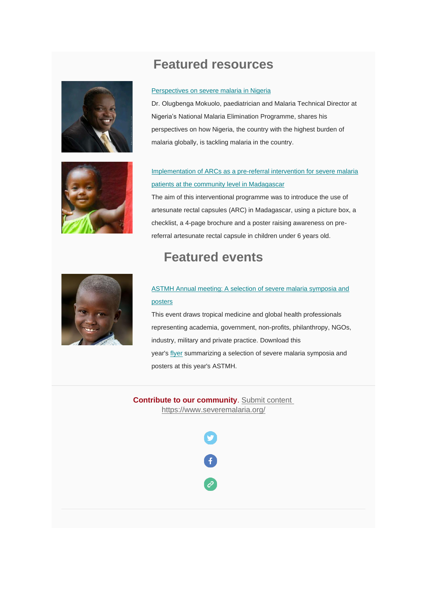## **Featured resources**







### Implementation of ARCs [as a pre-referral intervention for severe malaria](https://www.severemalaria.org/resources/implementation-of-artesunate-rectal-capsules-as-a-pre-referral-intervention-for-severe)  [patients at the community level in Madagascar](https://www.severemalaria.org/resources/implementation-of-artesunate-rectal-capsules-as-a-pre-referral-intervention-for-severe)

The aim of this interventional programme was to introduce the use of artesunate rectal capsules (ARC) in Madagascar, using a picture box, a checklist, a 4-page brochure and a poster raising awareness on prereferral artesunate rectal capsule in children under 6 years old.

## **Featured events**



### [ASTMH Annual meeting: A selection of severe malaria symposia and](https://www.severemalaria.org/events/astmh-severe-malaria-symposia-and-posters)  [posters](https://www.severemalaria.org/events/astmh-severe-malaria-symposia-and-posters)

This event draws tropical medicine and global health professionals representing academia, government, non-profits, philanthropy, NGOs, industry, military and private practice. Download this year's [flyer](https://www.severemalaria.org/events/astmh-severe-malaria-symposia-and-posters) summarizing a selection of severe malaria symposia and posters at this year's ASTMH.

**Contribute to our community**. [Submit content](https://www.severemalaria.org/submit-information) <https://www.severemalaria.org/>